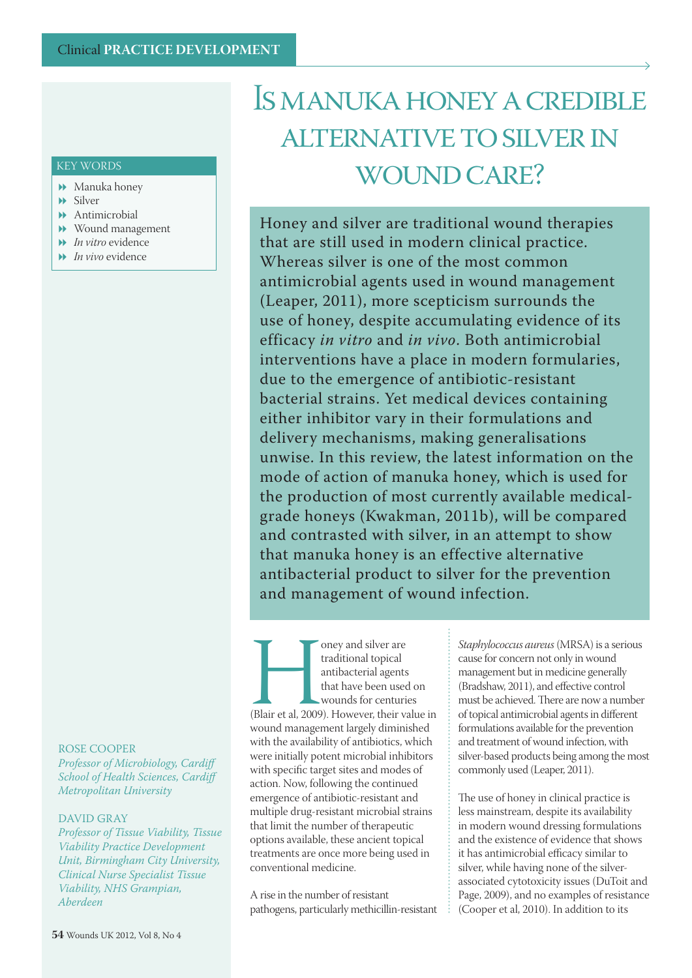## Is manuka honey a credible alternative to silver in WOUND CARE?

Honey and silver are traditional wound therapies that are still used in modern clinical practice. Whereas silver is one of the most common antimicrobial agents used in wound management (Leaper, 2011), more scepticism surrounds the use of honey, despite accumulating evidence of its efficacy *in vitro* and *in vivo*. Both antimicrobial interventions have a place in modern formularies, due to the emergence of antibiotic-resistant bacterial strains. Yet medical devices containing either inhibitor vary in their formulations and delivery mechanisms, making generalisations unwise. In this review, the latest information on the mode of action of manuka honey, which is used for the production of most currently available medicalgrade honeys (Kwakman, 2011b), will be compared and contrasted with silver, in an attempt to show that manuka honey is an effective alternative antibacterial product to silver for the prevention and management of wound infection.

The Manusday and silver are traditional topical<br>
antibacterial agents<br>
that have been used on<br>
wounds for centuries<br>
(Blair et al., 2009). However, their value is<br>
wound management largely diminished traditional topical antibacterial agents that have been used on wounds for centuries (Blair et al, 2009). However, their value in with the availability of antibiotics, which were initially potent microbial inhibitors with specific target sites and modes of action. Now, following the continued emergence of antibiotic-resistant and multiple drug-resistant microbial strains that limit the number of therapeutic options available, these ancient topical treatments are once more being used in conventional medicine.

A rise in the number of resistant pathogens, particularly methicillin-resistant

*Staphylococcus aureus* (MRSA) is a serious cause for concern not only in wound management but in medicine generally (Bradshaw, 2011), and effective control must be achieved. There are now a number of topical antimicrobial agents in different formulations available for the prevention and treatment of wound infection, with silver-based products being among the most commonly used (Leaper, 2011).

The use of honey in clinical practice is less mainstream, despite its availability in modern wound dressing formulations and the existence of evidence that shows it has antimicrobial efficacy similar to silver, while having none of the silverassociated cytotoxicity issues (DuToit and Page, 2009), and no examples of resistance (Cooper et al, 2010). In addition to its

#### KEY WORDS

- Manuka honey
- Silver
- Antimicrobial
- Wound management
- *In vitro* evidence
- *In vivo* evidence

#### ROSE COOPER

*Professor of Microbiology, Cardiff School of Health Sciences, Cardiff Metropolitan University*

#### DAVID GRAY

*Professor of Tissue Viability, Tissue Viability Practice Development Unit, Birmingham City University, Clinical Nurse Specialist Tissue Viability, NHS Grampian, Aberdeen*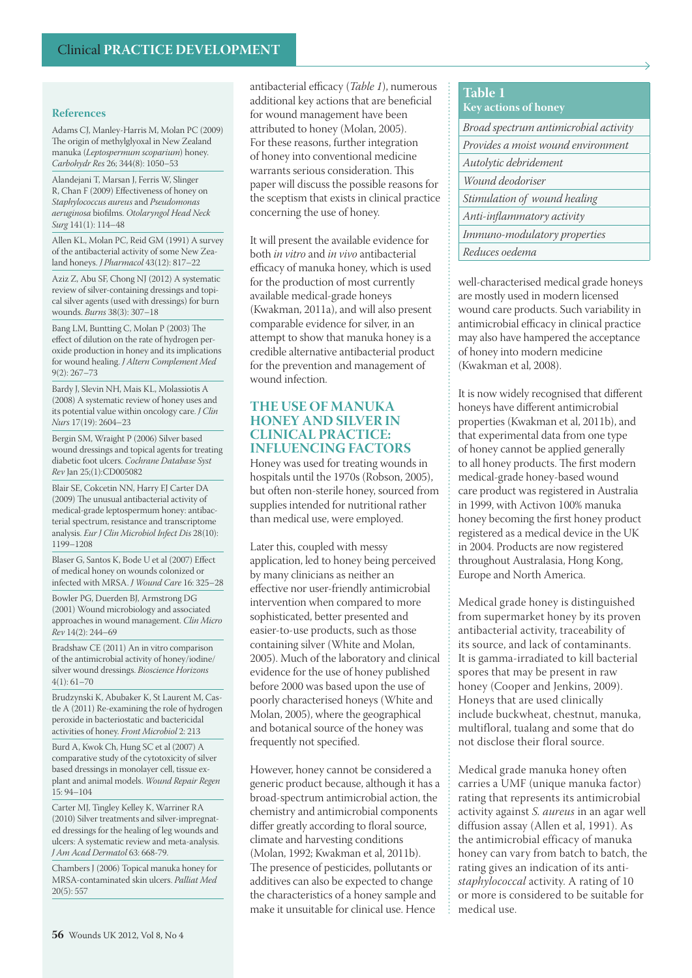Adams CJ, Manley-Harris M, Molan PC (2009) The origin of methylglyoxal in New Zealand manuka (*Leptospermum scoparium*) honey. *Carbohydr Res* 26; 344(8): 1050–53

Alandejani T, Marsan J, Ferris W, Slinger R, Chan F (2009) Effectiveness of honey on *Staphylococcus aureus* and *Pseudomonas aeruginosa* biofilms. *Otolaryngol Head Neck Surg* 141(1): 114–48

Allen KL, Molan PC, Reid GM (1991) A survey of the antibacterial activity of some New Zealand honeys. *J Pharmacol* 43(12): 817–22

Aziz Z, Abu SF, Chong NJ (2012) A systematic review of silver-containing dressings and topical silver agents (used with dressings) for burn wounds. *Burns* 38(3): 307–18

Bang LM, Buntting C, Molan P (2003) The effect of dilution on the rate of hydrogen peroxide production in honey and its implications for wound healing. *J Altern Complement Med*  $9(2) \cdot 267 - 73$ 

Bardy J, Slevin NH, Mais KL, Molassiotis A (2008) A systematic review of honey uses and its potential value within oncology care. *J Clin Nurs* 17(19): 2604–23

Bergin SM, Wraight P (2006) Silver based wound dressings and topical agents for treating diabetic foot ulcers. *Cochrane Database Syst Rev* Jan 25;(1):CD005082

Blair SE, Cokcetin NN, Harry EJ Carter DA (2009) The unusual antibacterial activity of medical-grade leptospermum honey: antibacterial spectrum, resistance and transcriptome analysis. *Eur J Clin Microbiol Infect Dis* 28(10): 1199–1208

Blaser G, Santos K, Bode U et al (2007) Effect of medical honey on wounds colonized or infected with MRSA. *J Wound Care* 16: 325–28

Bowler PG, Duerden BJ, Armstrong DG (2001) Wound microbiology and associated approaches in wound management. *Clin Micro Rev* 14(2): 244–69

Bradshaw CE (2011) An in vitro comparison of the antimicrobial activity of honey/iodine/ silver wound dressings. *Bioscience Horizons*  $4(1): 61 - 70$ 

Brudzynski K, Abubaker K, St Laurent M, Castle A (2011) Re-examining the role of hydrogen peroxide in bacteriostatic and bactericidal activities of honey. *Front Microbiol* 2: 213

Burd A, Kwok Ch, Hung SC et al (2007) A comparative study of the cytotoxicity of silver based dressings in monolayer cell, tissue explant and animal models. *Wound Repair Regen* 15: 94–104

Carter MJ, Tingley Kelley K, Warriner RA (2010) Silver treatments and silver-impregnated dressings for the healing of leg wounds and ulcers: A systematic review and meta-analysis. *J Am Acad Dermatol* 63: 668-79.

Chambers J (2006) Topical manuka honey for MRSA-contaminated skin ulcers. *Palliat Med* 20(5): 557

antibacterial efficacy (*Table 1*), numerous additional key actions that are beneficial for wound management have been attributed to honey (Molan, 2005). For these reasons, further integration of honey into conventional medicine warrants serious consideration. This paper will discuss the possible reasons for the sceptism that exists in clinical practice concerning the use of honey.

It will present the available evidence for both *in vitro* and *in vivo* antibacterial efficacy of manuka honey, which is used for the production of most currently available medical-grade honeys (Kwakman, 2011a), and will also present comparable evidence for silver, in an attempt to show that manuka honey is a credible alternative antibacterial product for the prevention and management of wound infection.

#### **THE USE OF MANUKA HONEY AND SILVER IN CLINICAL PRACTICE: INFLUENCING FACTORS**

Honey was used for treating wounds in hospitals until the 1970s (Robson, 2005), but often non-sterile honey, sourced from supplies intended for nutritional rather than medical use, were employed.

Later this, coupled with messy application, led to honey being perceived by many clinicians as neither an effective nor user-friendly antimicrobial intervention when compared to more sophisticated, better presented and easier-to-use products, such as those containing silver (White and Molan, 2005). Much of the laboratory and clinical evidence for the use of honey published before 2000 was based upon the use of poorly characterised honeys (White and Molan, 2005), where the geographical and botanical source of the honey was frequently not specified.

However, honey cannot be considered a generic product because, although it has a broad-spectrum antimicrobial action, the chemistry and antimicrobial components differ greatly according to floral source, climate and harvesting conditions (Molan, 1992; Kwakman et al, 2011b). The presence of pesticides, pollutants or additives can also be expected to change the characteristics of a honey sample and make it unsuitable for clinical use. Hence

### **Table 1 Key actions of honey** *Broad spectrum antimicrobial activity*

| Provides a moist wound environment  |
|-------------------------------------|
| Autolytic debridement               |
| Wound deodoriser                    |
| Stimulation of wound healing        |
| Anti-inflammatory activity          |
| <i>Immuno-modulatory properties</i> |
| Reduces oedema                      |

well-characterised medical grade honeys are mostly used in modern licensed wound care products. Such variability in antimicrobial efficacy in clinical practice may also have hampered the acceptance of honey into modern medicine (Kwakman et al, 2008).

It is now widely recognised that different honeys have different antimicrobial properties (Kwakman et al, 2011b), and that experimental data from one type of honey cannot be applied generally to all honey products. The first modern medical-grade honey-based wound care product was registered in Australia in 1999, with Activon 100% manuka honey becoming the first honey product registered as a medical device in the UK in 2004. Products are now registered throughout Australasia, Hong Kong, Europe and North America.

Medical grade honey is distinguished from supermarket honey by its proven antibacterial activity, traceability of its source, and lack of contaminants. It is gamma-irradiated to kill bacterial spores that may be present in raw honey (Cooper and Jenkins, 2009). Honeys that are used clinically include buckwheat, chestnut, manuka, multifloral, tualang and some that do not disclose their floral source.

Medical grade manuka honey often carries a UMF (unique manuka factor) rating that represents its antimicrobial activity against *S. aureus* in an agar well diffusion assay (Allen et al, 1991). As the antimicrobial efficacy of manuka honey can vary from batch to batch, the rating gives an indication of its anti*staphylococcal* activity. A rating of 10 or more is considered to be suitable for medical use.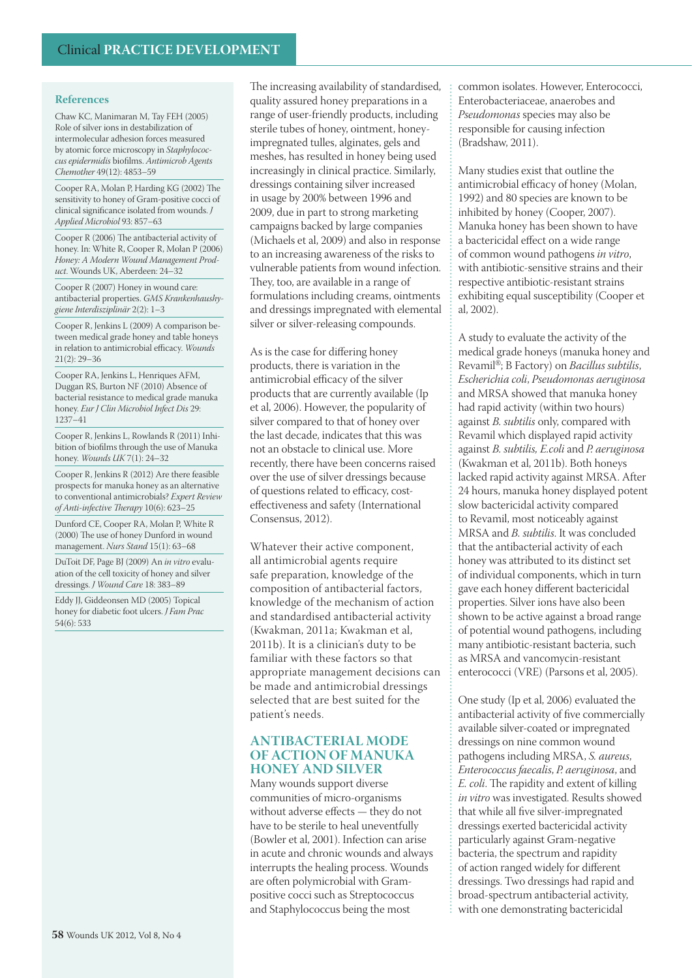Chaw KC, Manimaran M, Tay FEH (2005) Role of silver ions in destabilization of intermolecular adhesion forces measured by atomic force microscopy in *Staphylococcus epidermidis* biofilms. *Antimicrob Agents Chemother* 49(12): 4853–59

Cooper RA, Molan P, Harding KG (2002) The sensitivity to honey of Gram-positive cocci of clinical significance isolated from wounds. *J Applied Microbiol* 93: 857–63

Cooper R (2006) The antibacterial activity of honey. In: White R, Cooper R, Molan P (2006) *Honey: A Modern Wound Management Product*. Wounds UK, Aberdeen: 24–32

Cooper R (2007) Honey in wound care: antibacterial properties. *GMS Krankenhaushygiene Interdisziplinär* 2(2): 1–3

Cooper R, Jenkins L (2009) A comparison between medical grade honey and table honeys in relation to antimicrobial efficacy. *Wounds* 21(2): 29–36

Cooper RA, Jenkins L, Henriques AFM, Duggan RS, Burton NF (2010) Absence of bacterial resistance to medical grade manuka honey. *Eur J Clin Microbiol Infect Dis* 29: 1237–41

Cooper R, Jenkins L, Rowlands R (2011) Inhibition of biofilms through the use of Manuka honey. *Wounds UK* 7(1): 24–32

Cooper R, Jenkins R (2012) Are there feasible prospects for manuka honey as an alternative to conventional antimicrobials? *Expert Review of Anti-infective Therapy* 10(6): 623–25

Dunford CE, Cooper RA, Molan P, White R (2000) The use of honey Dunford in wound management. *Nurs Stand* 15(1): 63–68

DuToit DF, Page BJ (2009) An *in vitro* evaluation of the cell toxicity of honey and silver dressings. *J Wound Care* 18: 383–89

Eddy JJ, Giddeonsen MD (2005) Topical honey for diabetic foot ulcers. *J Fam Prac* 54(6): 533

The increasing availability of standardised, quality assured honey preparations in a range of user-friendly products, including sterile tubes of honey, ointment, honeyimpregnated tulles, alginates, gels and meshes, has resulted in honey being used increasingly in clinical practice. Similarly, dressings containing silver increased in usage by 200% between 1996 and 2009, due in part to strong marketing campaigns backed by large companies (Michaels et al, 2009) and also in response to an increasing awareness of the risks to vulnerable patients from wound infection. They, too, are available in a range of formulations including creams, ointments and dressings impregnated with elemental silver or silver-releasing compounds.

As is the case for differing honey products, there is variation in the antimicrobial efficacy of the silver products that are currently available (Ip et al, 2006). However, the popularity of silver compared to that of honey over the last decade, indicates that this was not an obstacle to clinical use. More recently, there have been concerns raised over the use of silver dressings because of questions related to efficacy, costeffectiveness and safety (International Consensus, 2012).

Whatever their active component, all antimicrobial agents require safe preparation, knowledge of the composition of antibacterial factors, knowledge of the mechanism of action and standardised antibacterial activity (Kwakman, 2011a; Kwakman et al, 2011b). It is a clinician's duty to be familiar with these factors so that appropriate management decisions can be made and antimicrobial dressings selected that are best suited for the patient's needs.

#### **ANTIBACTERIAL MODE OF ACTION OF MANUKA HONEY AND SILVER**

Many wounds support diverse communities of micro-organisms without adverse effects — they do not have to be sterile to heal uneventfully (Bowler et al, 2001). Infection can arise in acute and chronic wounds and always interrupts the healing process. Wounds are often polymicrobial with Grampositive cocci such as Streptococcus and Staphylococcus being the most

common isolates. However, Enterococci, Enterobacteriaceae, anaerobes and *Pseudomonas* species may also be responsible for causing infection (Bradshaw, 2011).

Many studies exist that outline the antimicrobial efficacy of honey (Molan, 1992) and 80 species are known to be inhibited by honey (Cooper, 2007). Manuka honey has been shown to have a bactericidal effect on a wide range of common wound pathogens *in vitro*, with antibiotic-sensitive strains and their respective antibiotic-resistant strains exhibiting equal susceptibility (Cooper et al, 2002).

A study to evaluate the activity of the medical grade honeys (manuka honey and Revamil®; B Factory) on *Bacillus subtilis*, *Escherichia coli*, *Pseudomonas aeruginosa* and MRSA showed that manuka honey had rapid activity (within two hours) against *B. subtilis* only, compared with Revamil which displayed rapid activity against *B. subtilis, E.coli* and *P. aeruginosa* (Kwakman et al, 2011b). Both honeys lacked rapid activity against MRSA. After 24 hours, manuka honey displayed potent slow bactericidal activity compared to Revamil, most noticeably against MRSA and *B. subtilis*. It was concluded that the antibacterial activity of each honey was attributed to its distinct set of individual components, which in turn gave each honey different bactericidal properties. Silver ions have also been shown to be active against a broad range of potential wound pathogens, including many antibiotic-resistant bacteria, such as MRSA and vancomycin-resistant enterococci (VRE) (Parsons et al, 2005).

One study (Ip et al, 2006) evaluated the antibacterial activity of five commercially available silver-coated or impregnated dressings on nine common wound pathogens including MRSA, *S. aureus*, *Enterococcus faecalis*, *P. aeruginosa*, and *E. coli*. The rapidity and extent of killing *in vitro* was investigated. Results showed that while all five silver-impregnated dressings exerted bactericidal activity particularly against Gram-negative bacteria, the spectrum and rapidity of action ranged widely for different dressings. Two dressings had rapid and broad-spectrum antibacterial activity, with one demonstrating bactericidal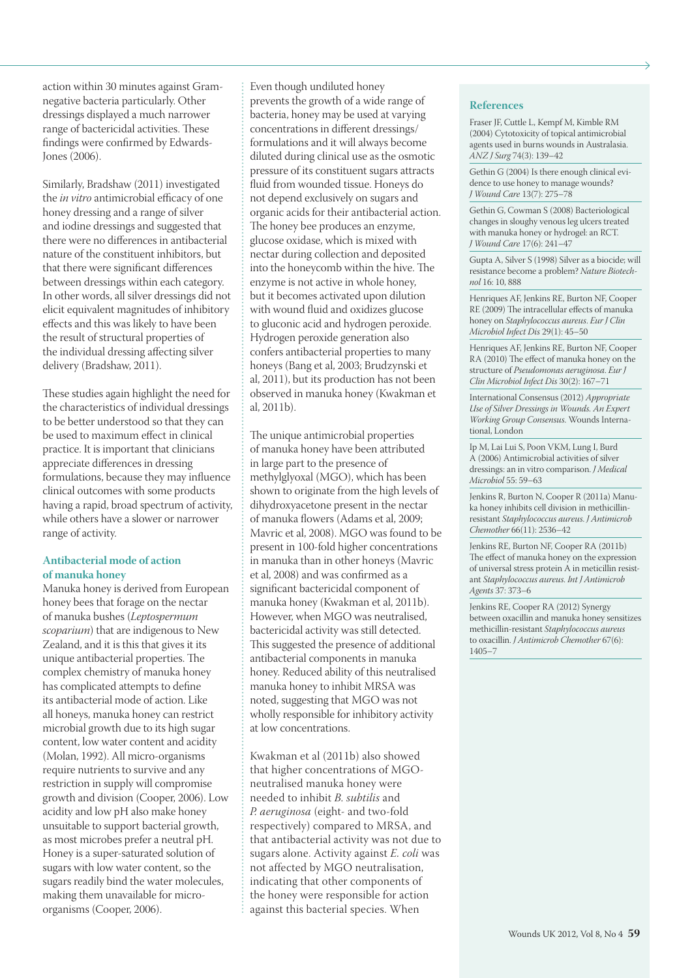action within 30 minutes against Gramnegative bacteria particularly. Other dressings displayed a much narrower range of bactericidal activities. These findings were confirmed by Edwards-Jones (2006).

Similarly, Bradshaw (2011) investigated the *in vitro* antimicrobial efficacy of one honey dressing and a range of silver and iodine dressings and suggested that there were no differences in antibacterial nature of the constituent inhibitors, but that there were significant differences between dressings within each category. In other words, all silver dressings did not elicit equivalent magnitudes of inhibitory effects and this was likely to have been the result of structural properties of the individual dressing affecting silver delivery (Bradshaw, 2011).

These studies again highlight the need for the characteristics of individual dressings to be better understood so that they can be used to maximum effect in clinical practice. It is important that clinicians appreciate differences in dressing formulations, because they may influence clinical outcomes with some products having a rapid, broad spectrum of activity, while others have a slower or narrower range of activity.

#### **Antibacterial mode of action of manuka honey**

Manuka honey is derived from European honey bees that forage on the nectar of manuka bushes (*Leptospermum scoparium*) that are indigenous to New Zealand, and it is this that gives it its unique antibacterial properties. The complex chemistry of manuka honey has complicated attempts to define its antibacterial mode of action. Like all honeys, manuka honey can restrict microbial growth due to its high sugar content, low water content and acidity (Molan, 1992). All micro-organisms require nutrients to survive and any restriction in supply will compromise growth and division (Cooper, 2006). Low acidity and low pH also make honey unsuitable to support bacterial growth, as most microbes prefer a neutral pH. Honey is a super-saturated solution of sugars with low water content, so the sugars readily bind the water molecules, making them unavailable for microorganisms (Cooper, 2006).

Even though undiluted honey prevents the growth of a wide range of bacteria, honey may be used at varying concentrations in different dressings/ formulations and it will always become diluted during clinical use as the osmotic pressure of its constituent sugars attracts fluid from wounded tissue. Honeys do not depend exclusively on sugars and organic acids for their antibacterial action. The honey bee produces an enzyme, glucose oxidase, which is mixed with nectar during collection and deposited into the honeycomb within the hive. The enzyme is not active in whole honey, but it becomes activated upon dilution with wound fluid and oxidizes glucose to gluconic acid and hydrogen peroxide. Hydrogen peroxide generation also confers antibacterial properties to many honeys (Bang et al, 2003; Brudzynski et al, 2011), but its production has not been observed in manuka honey (Kwakman et al, 2011b).

The unique antimicrobial properties of manuka honey have been attributed in large part to the presence of methylglyoxal (MGO), which has been shown to originate from the high levels of dihydroxyacetone present in the nectar of manuka flowers (Adams et al, 2009; Mavric et al, 2008). MGO was found to be present in 100-fold higher concentrations in manuka than in other honeys (Mavric et al, 2008) and was confirmed as a significant bactericidal component of manuka honey (Kwakman et al, 2011b). However, when MGO was neutralised, bactericidal activity was still detected. This suggested the presence of additional antibacterial components in manuka honey. Reduced ability of this neutralised manuka honey to inhibit MRSA was noted, suggesting that MGO was not wholly responsible for inhibitory activity at low concentrations.

Kwakman et al (2011b) also showed that higher concentrations of MGOneutralised manuka honey were needed to inhibit *B. subtilis* and *P. aeruginosa* (eight- and two-fold respectively) compared to MRSA, and that antibacterial activity was not due to sugars alone. Activity against *E. coli* was not affected by MGO neutralisation, indicating that other components of the honey were responsible for action against this bacterial species. When

#### **References**

Fraser JF, Cuttle L, Kempf M, Kimble RM (2004) Cytotoxicity of topical antimicrobial agents used in burns wounds in Australasia. *ANZ J Surg* 74(3): 139–42

Gethin G (2004) Is there enough clinical evidence to use honey to manage wounds? *J Wound Care* 13(7): 275–78

Gethin G, Cowman S (2008) Bacteriological changes in sloughy venous leg ulcers treated with manuka honey or hydrogel: an RCT. *J Wound Care* 17(6): 241–47

Gupta A, Silver S (1998) Silver as a biocide; will resistance become a problem? *Nature Biotechnol* 16: 10, 888

Henriques AF, Jenkins RE, Burton NF, Cooper RE (2009) The intracellular effects of manuka honey on *Staphylococcus aureus*. *Eur J Clin Microbiol Infect Dis* 29(1): 45–50

Henriques AF, Jenkins RE, Burton NF, Cooper RA (2010) The effect of manuka honey on the structure of *Pseudomonas aeruginosa*. *Eur J Clin Microbiol Infect Dis* 30(2): 167–71

International Consensus (2012) *Appropriate Use of Silver Dressings in Wounds. An Expert Working Group Consensus*. Wounds International, London

Ip M, Lai Lui S, Poon VKM, Lung I, Burd A (2006) Antimicrobial activities of silver dressings: an in vitro comparison. *J Medical Microbiol* 55: 59–63

Jenkins R, Burton N, Cooper R (2011a) Manuka honey inhibits cell division in methicillinresistant *Staphylococcus aureus*. *J Antimicrob Chemother* 66(11): 2536–42

Jenkins RE, Burton NF, Cooper RA (2011b) The effect of manuka honey on the expression of universal stress protein A in meticillin resistant *Staphylococcus aureus*. *Int J Antimicrob Agents* 37: 373–6

Jenkins RE, Cooper RA (2012) Synergy between oxacillin and manuka honey sensitizes methicillin-resistant *Staphylococcus aureus* to oxacillin. *J Antimicrob Chemother* 67(6): 1405–7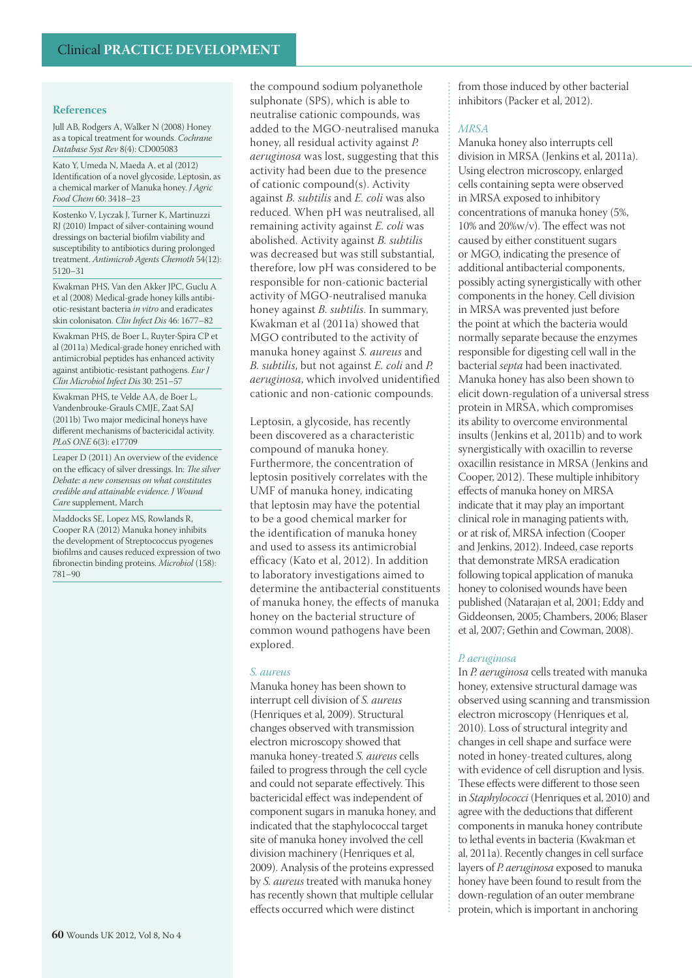Jull AB, Rodgers A, Walker N (2008) Honey as a topical treatment for wounds. *Cochrane Database Syst Rev* 8(4): CD005083

Kato Y, Umeda N, Maeda A, et al (2012) Identification of a novel glycoside, Leptosin, as a chemical marker of Manuka honey. *J Agric Food Chem* 60: 3418–23

Kostenko V, Lyczak J, Turner K, Martinuzzi RJ (2010) Impact of silver-containing wound dressings on bacterial biofilm viability and susceptibility to antibiotics during prolonged treatment. *Antimicrob Agents Chemoth* 54(12): 5120–31

Kwakman PHS, Van den Akker JPC, Guclu A et al (2008) Medical-grade honey kills antibiotic-resistant bacteria *in vitro* and eradicates skin colonisaton. *Clin Infect Dis* 46: 1677–82

Kwakman PHS, de Boer L, Ruyter-Spira CP et al (2011a) Medical-grade honey enriched with antimicrobial peptides has enhanced activity against antibiotic-resistant pathogens. *Eur J Clin Microbiol Infect Dis* 30: 251–57

Kwakman PHS, te Velde AA, de Boer L, Vandenbrouke-Grauls CMJE, Zaat SAJ (2011b) Two major medicinal honeys have different mechanisms of bactericidal activity. *PLoS ONE* 6(3): e17709

Leaper D (2011) An overview of the evidence on the efficacy of silver dressings. In: *The silver Debate: a new consensus on what constitutes credible and attainable evidence*. *J Wound Care* supplement, March

Maddocks SE, Lopez MS, Rowlands R, Cooper RA (2012) Manuka honey inhibits the development of Streptococcus pyogenes biofilms and causes reduced expression of two fibronectin binding proteins. *Microbiol* (158): 781–90

the compound sodium polyanethole sulphonate (SPS), which is able to neutralise cationic compounds, was added to the MGO-neutralised manuka honey, all residual activity against *P. aeruginosa* was lost, suggesting that this activity had been due to the presence of cationic compound(s). Activity against *B. subtilis* and *E. coli* was also reduced. When pH was neutralised, all remaining activity against *E. coli* was abolished. Activity against *B. subtilis* was decreased but was still substantial, therefore, low pH was considered to be responsible for non-cationic bacterial activity of MGO-neutralised manuka honey against *B. subtilis*. In summary, Kwakman et al (2011a) showed that MGO contributed to the activity of manuka honey against *S. aureus* and *B. subtilis*, but not against *E. coli* and *P. aeruginosa*, which involved unidentified

Leptosin, a glycoside, has recently been discovered as a characteristic compound of manuka honey. Furthermore, the concentration of leptosin positively correlates with the UMF of manuka honey, indicating that leptosin may have the potential to be a good chemical marker for the identification of manuka honey and used to assess its antimicrobial efficacy (Kato et al, 2012). In addition to laboratory investigations aimed to determine the antibacterial constituents of manuka honey, the effects of manuka honey on the bacterial structure of common wound pathogens have been explored.

cationic and non-cationic compounds.

#### *S. aureus*

Manuka honey has been shown to interrupt cell division of *S. aureus* (Henriques et al, 2009). Structural changes observed with transmission electron microscopy showed that manuka honey-treated *S. aureus* cells failed to progress through the cell cycle and could not separate effectively. This bactericidal effect was independent of component sugars in manuka honey, and indicated that the staphylococcal target site of manuka honey involved the cell division machinery (Henriques et al, 2009). Analysis of the proteins expressed by *S. aureus* treated with manuka honey has recently shown that multiple cellular effects occurred which were distinct

from those induced by other bacterial inhibitors (Packer et al, 2012).

#### *MRSA*

Manuka honey also interrupts cell division in MRSA (Jenkins et al, 2011a). Using electron microscopy, enlarged cells containing septa were observed in MRSA exposed to inhibitory concentrations of manuka honey (5%, 10% and 20%w/v). The effect was not caused by either constituent sugars or MGO, indicating the presence of additional antibacterial components, possibly acting synergistically with other components in the honey. Cell division in MRSA was prevented just before the point at which the bacteria would normally separate because the enzymes responsible for digesting cell wall in the bacterial *septa* had been inactivated. Manuka honey has also been shown to elicit down-regulation of a universal stress protein in MRSA, which compromises its ability to overcome environmental insults (Jenkins et al, 2011b) and to work synergistically with oxacillin to reverse oxacillin resistance in MRSA (Jenkins and Cooper, 2012). These multiple inhibitory effects of manuka honey on MRSA indicate that it may play an important clinical role in managing patients with, or at risk of, MRSA infection (Cooper and Jenkins, 2012). Indeed, case reports that demonstrate MRSA eradication following topical application of manuka honey to colonised wounds have been published (Natarajan et al, 2001; Eddy and Giddeonsen, 2005; Chambers, 2006; Blaser et al, 2007; Gethin and Cowman, 2008).

#### *P. aeruginosa*

In *P. aeruginosa* cells treated with manuka honey, extensive structural damage was observed using scanning and transmission electron microscopy (Henriques et al, 2010). Loss of structural integrity and changes in cell shape and surface were noted in honey-treated cultures, along with evidence of cell disruption and lysis. These effects were different to those seen in *Staphylococci* (Henriques et al, 2010) and agree with the deductions that different components in manuka honey contribute to lethal events in bacteria (Kwakman et al, 2011a). Recently changes in cell surface layers of *P. aeruginosa* exposed to manuka honey have been found to result from the down-regulation of an outer membrane protein, which is important in anchoring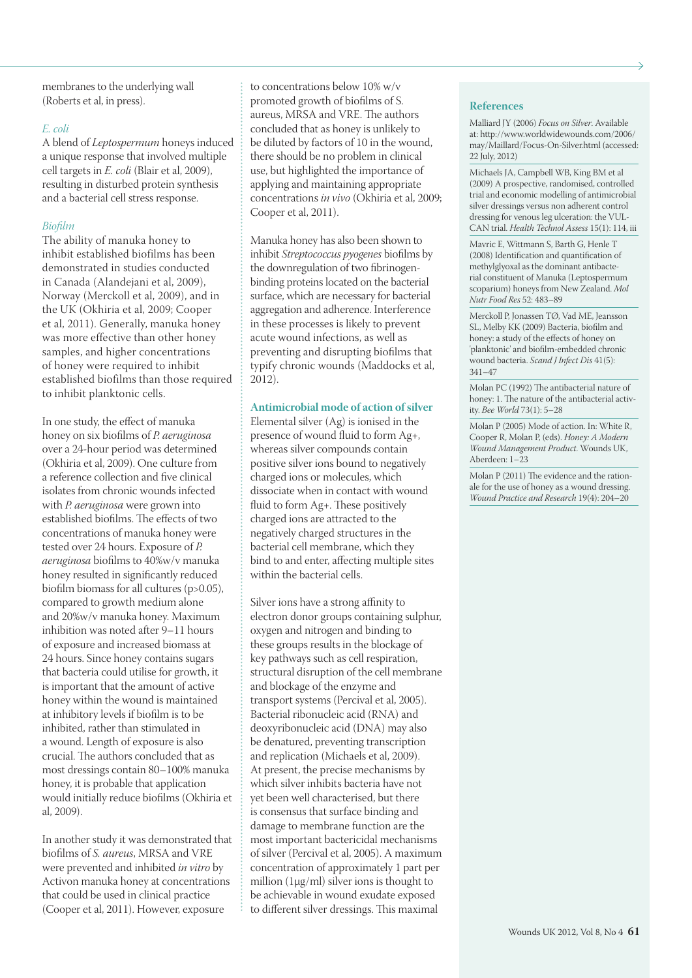membranes to the underlying wall (Roberts et al, in press).

#### *E. coli*

A blend of *Leptospermum* honeys induced a unique response that involved multiple cell targets in *E. coli* (Blair et al, 2009), resulting in disturbed protein synthesis and a bacterial cell stress response.

#### *Biofilm*

The ability of manuka honey to inhibit established biofilms has been demonstrated in studies conducted in Canada (Alandejani et al, 2009), Norway (Merckoll et al, 2009), and in the UK (Okhiria et al, 2009; Cooper et al, 2011). Generally, manuka honey was more effective than other honey samples, and higher concentrations of honey were required to inhibit established biofilms than those required to inhibit planktonic cells.

In one study, the effect of manuka honey on six biofilms of *P. aeruginosa* over a 24-hour period was determined (Okhiria et al, 2009). One culture from a reference collection and five clinical isolates from chronic wounds infected with *P. aeruginosa* were grown into established biofilms. The effects of two concentrations of manuka honey were tested over 24 hours. Exposure of *P. aeruginosa* biofilms to 40%w/v manuka honey resulted in significantly reduced biofilm biomass for all cultures (p>0.05), compared to growth medium alone and 20%w/v manuka honey. Maximum inhibition was noted after 9–11 hours of exposure and increased biomass at 24 hours. Since honey contains sugars that bacteria could utilise for growth, it is important that the amount of active honey within the wound is maintained at inhibitory levels if biofilm is to be inhibited, rather than stimulated in a wound. Length of exposure is also crucial. The authors concluded that as most dressings contain 80–100% manuka honey, it is probable that application would initially reduce biofilms (Okhiria et al, 2009).

In another study it was demonstrated that biofilms of *S. aureus*, MRSA and VRE were prevented and inhibited *in vitro* by Activon manuka honey at concentrations that could be used in clinical practice (Cooper et al, 2011). However, exposure

to concentrations below 10% w/v promoted growth of biofilms of S. aureus, MRSA and VRE. The authors concluded that as honey is unlikely to be diluted by factors of 10 in the wound, there should be no problem in clinical use, but highlighted the importance of applying and maintaining appropriate concentrations *in vivo* (Okhiria et al, 2009; Cooper et al, 2011).

Manuka honey has also been shown to inhibit *Streptococcus pyogenes* biofilms by the downregulation of two fibrinogenbinding proteins located on the bacterial surface, which are necessary for bacterial aggregation and adherence. Interference in these processes is likely to prevent acute wound infections, as well as preventing and disrupting biofilms that typify chronic wounds (Maddocks et al, 2012).

#### **Antimicrobial mode of action of silver**

Elemental silver (Ag) is ionised in the presence of wound fluid to form Ag+, whereas silver compounds contain positive silver ions bound to negatively charged ions or molecules, which dissociate when in contact with wound fluid to form Ag+. These positively charged ions are attracted to the negatively charged structures in the bacterial cell membrane, which they bind to and enter, affecting multiple sites within the bacterial cells.

Silver ions have a strong affinity to electron donor groups containing sulphur, oxygen and nitrogen and binding to these groups results in the blockage of key pathways such as cell respiration, structural disruption of the cell membrane and blockage of the enzyme and transport systems (Percival et al, 2005). Bacterial ribonucleic acid (RNA) and deoxyribonucleic acid (DNA) may also be denatured, preventing transcription and replication (Michaels et al, 2009). At present, the precise mechanisms by which silver inhibits bacteria have not yet been well characterised, but there is consensus that surface binding and damage to membrane function are the most important bactericidal mechanisms of silver (Percival et al, 2005). A maximum concentration of approximately 1 part per million (1µg/ml) silver ions is thought to be achievable in wound exudate exposed to different silver dressings. This maximal

#### **References**

Malliard JY (2006) *Focus on Silver*. Available at: http://www.worldwidewounds.com/2006/ may/Maillard/Focus-On-Silver.html (accessed: 22 July, 2012)

Michaels JA, Campbell WB, King BM et al (2009) A prospective, randomised, controlled trial and economic modelling of antimicrobial silver dressings versus non adherent control dressing for venous leg ulceration: the VUL-CAN trial. *Health Technol Assess* 15(1): 114, iii

Mavric E, Wittmann S, Barth G, Henle T (2008) Identification and quantification of methylglyoxal as the dominant antibacterial constituent of Manuka (Leptospermum scoparium) honeys from New Zealand. *Mol Nutr Food Res* 52: 483–89

Merckoll P, Jonassen TØ, Vad ME, Jeansson SL, Melby KK (2009) Bacteria, biofilm and honey: a study of the effects of honey on 'planktonic' and biofilm-embedded chronic wound bacteria. *Scand J Infect Dis* 41(5): 341–47

Molan PC (1992) The antibacterial nature of honey: 1. The nature of the antibacterial activity. *Bee World* 73(1): 5–28

Molan P (2005) Mode of action. In: White R, Cooper R, Molan P, (eds). *Honey: A Modern Wound Management Product*. Wounds UK, Aberdeen: 1–23

Molan P (2011) The evidence and the rationale for the use of honey as a wound dressing. *Wound Practice and Research* 19(4): 204–20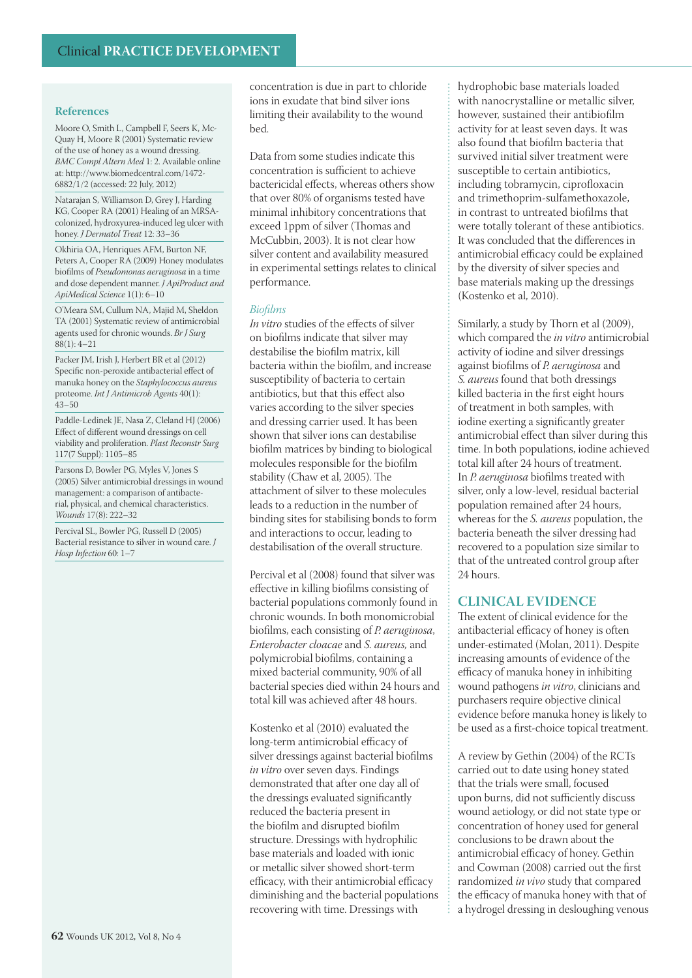Moore O, Smith L, Campbell F, Seers K, Mc-Quay H, Moore R (2001) Systematic review of the use of honey as a wound dressing. *BMC Compl Altern Med* 1: 2. Available online at: http://www.biomedcentral.com/1472- 6882/1/2 (accessed: 22 July, 2012)

Natarajan S, Williamson D, Grey J, Harding KG, Cooper RA (2001) Healing of an MRSAcolonized, hydroxyurea-induced leg ulcer with honey. *J Dermatol Treat* 12: 33–36

Okhiria OA, Henriques AFM, Burton NF, Peters A, Cooper RA (2009) Honey modulates biofilms of *Pseudomonas aeruginosa* in a time and dose dependent manner. *J ApiProduct and ApiMedical Science* 1(1): 6–10

O'Meara SM, Cullum NA, Majid M, Sheldon TA (2001) Systematic review of antimicrobial agents used for chronic wounds. *Br J Surg*  $88(1): 4-21$ 

Packer JM, Irish J, Herbert BR et al (2012) Specific non-peroxide antibacterial effect of manuka honey on the *Staphylococcus aureus* proteome. *Int J Antimicrob Agents* 40(1):  $43 - 50$ 

Paddle-Ledinek JE, Nasa Z, Cleland HJ (2006) Effect of different wound dressings on cell viability and proliferation. *Plast Reconstr Surg* 117(7 Suppl): 1105–85

Parsons D, Bowler PG, Myles V, Jones S (2005) Silver antimicrobial dressings in wound management: a comparison of antibacterial, physical, and chemical characteristics. *Wounds* 17(8): 222–32

Percival SL, Bowler PG, Russell D (2005) Bacterial resistance to silver in wound care. *J Hosp Infection* 60: 1–7

concentration is due in part to chloride ions in exudate that bind silver ions limiting their availability to the wound bed.

Data from some studies indicate this concentration is sufficient to achieve bactericidal effects, whereas others show that over 80% of organisms tested have minimal inhibitory concentrations that exceed 1ppm of silver (Thomas and McCubbin, 2003). It is not clear how silver content and availability measured in experimental settings relates to clinical performance.

#### *Biofilms*

*In vitro* studies of the effects of silver on biofilms indicate that silver may destabilise the biofilm matrix, kill bacteria within the biofilm, and increase susceptibility of bacteria to certain antibiotics, but that this effect also varies according to the silver species and dressing carrier used. It has been shown that silver ions can destabilise biofilm matrices by binding to biological molecules responsible for the biofilm stability (Chaw et al, 2005). The attachment of silver to these molecules leads to a reduction in the number of binding sites for stabilising bonds to form and interactions to occur, leading to destabilisation of the overall structure.

Percival et al (2008) found that silver was effective in killing biofilms consisting of bacterial populations commonly found in chronic wounds. In both monomicrobial biofilms, each consisting of *P. aeruginosa*, *Enterobacter cloacae* and *S. aureus,* and polymicrobial biofilms, containing a mixed bacterial community, 90% of all bacterial species died within 24 hours and total kill was achieved after 48 hours.

Kostenko et al (2010) evaluated the long-term antimicrobial efficacy of silver dressings against bacterial biofilms *in vitro* over seven days. Findings demonstrated that after one day all of the dressings evaluated significantly reduced the bacteria present in the biofilm and disrupted biofilm structure. Dressings with hydrophilic base materials and loaded with ionic or metallic silver showed short-term efficacy, with their antimicrobial efficacy diminishing and the bacterial populations recovering with time. Dressings with

hydrophobic base materials loaded with nanocrystalline or metallic silver, however, sustained their antibiofilm activity for at least seven days. It was also found that biofilm bacteria that survived initial silver treatment were susceptible to certain antibiotics, including tobramycin, ciprofloxacin and trimethoprim-sulfamethoxazole, in contrast to untreated biofilms that were totally tolerant of these antibiotics. It was concluded that the differences in antimicrobial efficacy could be explained by the diversity of silver species and base materials making up the dressings (Kostenko et al, 2010).

Similarly, a study by Thorn et al (2009), which compared the *in vitro* antimicrobial activity of iodine and silver dressings against biofilms of *P. aeruginosa* and *S. aureus* found that both dressings killed bacteria in the first eight hours of treatment in both samples, with iodine exerting a significantly greater antimicrobial effect than silver during this time. In both populations, iodine achieved total kill after 24 hours of treatment. In *P. aeruginosa* biofilms treated with silver, only a low-level, residual bacterial population remained after 24 hours, whereas for the *S. aureus* population, the bacteria beneath the silver dressing had recovered to a population size similar to that of the untreated control group after 24 hours.

#### **CLINICAL EVIDENCE**

The extent of clinical evidence for the antibacterial efficacy of honey is often under-estimated (Molan, 2011). Despite increasing amounts of evidence of the efficacy of manuka honey in inhibiting wound pathogens *in vitro*, clinicians and purchasers require objective clinical evidence before manuka honey is likely to be used as a first-choice topical treatment.

A review by Gethin (2004) of the RCTs carried out to date using honey stated that the trials were small, focused upon burns, did not sufficiently discuss wound aetiology, or did not state type or concentration of honey used for general conclusions to be drawn about the antimicrobial efficacy of honey. Gethin and Cowman (2008) carried out the first randomized *in vivo* study that compared the efficacy of manuka honey with that of a hydrogel dressing in desloughing venous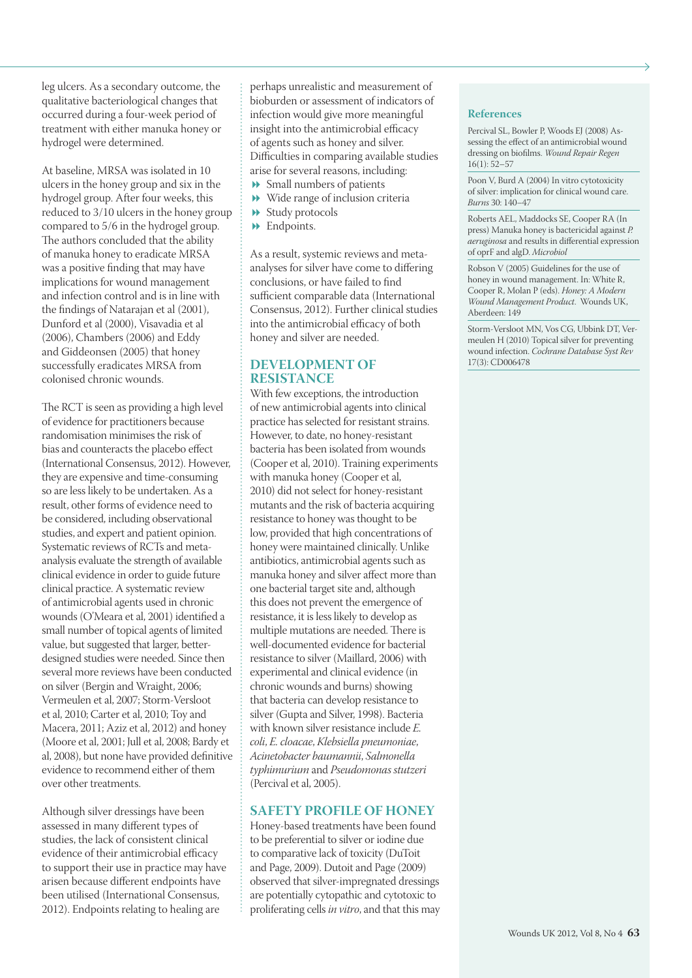leg ulcers. As a secondary outcome, the qualitative bacteriological changes that occurred during a four-week period of treatment with either manuka honey or hydrogel were determined.

At baseline, MRSA was isolated in 10 ulcers in the honey group and six in the hydrogel group. After four weeks, this reduced to 3/10 ulcers in the honey group compared to 5/6 in the hydrogel group. The authors concluded that the ability of manuka honey to eradicate MRSA was a positive finding that may have implications for wound management and infection control and is in line with the findings of Natarajan et al (2001), Dunford et al (2000), Visavadia et al (2006), Chambers (2006) and Eddy and Giddeonsen (2005) that honey successfully eradicates MRSA from colonised chronic wounds.

The RCT is seen as providing a high level of evidence for practitioners because randomisation minimises the risk of bias and counteracts the placebo effect (International Consensus, 2012). However, they are expensive and time-consuming so are less likely to be undertaken. As a result, other forms of evidence need to be considered, including observational studies, and expert and patient opinion. Systematic reviews of RCTs and metaanalysis evaluate the strength of available clinical evidence in order to guide future clinical practice. A systematic review of antimicrobial agents used in chronic wounds (O'Meara et al, 2001) identified a small number of topical agents of limited value, but suggested that larger, betterdesigned studies were needed. Since then several more reviews have been conducted on silver (Bergin and Wraight, 2006; Vermeulen et al, 2007; Storm-Versloot et al, 2010; Carter et al, 2010; Toy and Macera, 2011; Aziz et al, 2012) and honey (Moore et al, 2001; Jull et al, 2008; Bardy et al, 2008), but none have provided definitive evidence to recommend either of them over other treatments.

Although silver dressings have been assessed in many different types of studies, the lack of consistent clinical evidence of their antimicrobial efficacy to support their use in practice may have arisen because different endpoints have been utilised (International Consensus, 2012). Endpoints relating to healing are

perhaps unrealistic and measurement of bioburden or assessment of indicators of infection would give more meaningful insight into the antimicrobial efficacy of agents such as honey and silver. Difficulties in comparing available studies arise for several reasons, including:

- Small numbers of patients
- Wide range of inclusion criteria
- $\rightarrow$  Study protocols
- $\rightarrow$  Endpoints.

As a result, systemic reviews and metaanalyses for silver have come to differing conclusions, or have failed to find sufficient comparable data (International Consensus, 2012). Further clinical studies into the antimicrobial efficacy of both honey and silver are needed.

#### **DEVELOPMENT OF RESISTANCE**

With few exceptions, the introduction of new antimicrobial agents into clinical practice has selected for resistant strains. However, to date, no honey-resistant bacteria has been isolated from wounds (Cooper et al, 2010). Training experiments with manuka honey (Cooper et al, 2010) did not select for honey-resistant mutants and the risk of bacteria acquiring resistance to honey was thought to be low, provided that high concentrations of honey were maintained clinically. Unlike antibiotics, antimicrobial agents such as manuka honey and silver affect more than one bacterial target site and, although this does not prevent the emergence of resistance, it is less likely to develop as multiple mutations are needed. There is well-documented evidence for bacterial resistance to silver (Maillard, 2006) with experimental and clinical evidence (in chronic wounds and burns) showing that bacteria can develop resistance to silver (Gupta and Silver, 1998). Bacteria with known silver resistance include *E. coli*, *E. cloacae*, *Klebsiella pneumoniae*, *Acinetobacter baumannii*, *Salmonella typhimurium* and *Pseudomonas stutzeri* (Percival et al, 2005).

#### **SAFETY PROFILE OF HONEY**

Honey-based treatments have been found to be preferential to silver or iodine due to comparative lack of toxicity (DuToit and Page, 2009). Dutoit and Page (2009) observed that silver-impregnated dressings are potentially cytopathic and cytotoxic to proliferating cells *in vitro*, and that this may

#### **References**

Percival SL, Bowler P, Woods EJ (2008) Assessing the effect of an antimicrobial wound dressing on biofilms. *Wound Repair Regen*  $16(1): 52-57$ 

Poon V, Burd A (2004) In vitro cytotoxicity of silver: implication for clinical wound care. *Burns* 30: 140–47

Roberts AEL, Maddocks SE, Cooper RA (In press) Manuka honey is bactericidal against *P. aeruginosa* and results in differential expression of oprF and algD. *Microbiol*

Robson V (2005) Guidelines for the use of honey in wound management. In: White R, Cooper R, Molan P (eds). *Honey: A Modern Wound Management Product*. Wounds UK, Aberdeen: 149

Storm-Versloot MN, Vos CG, Ubbink DT, Vermeulen H (2010) Topical silver for preventing wound infection. *Cochrane Database Syst Rev* 17(3): CD006478